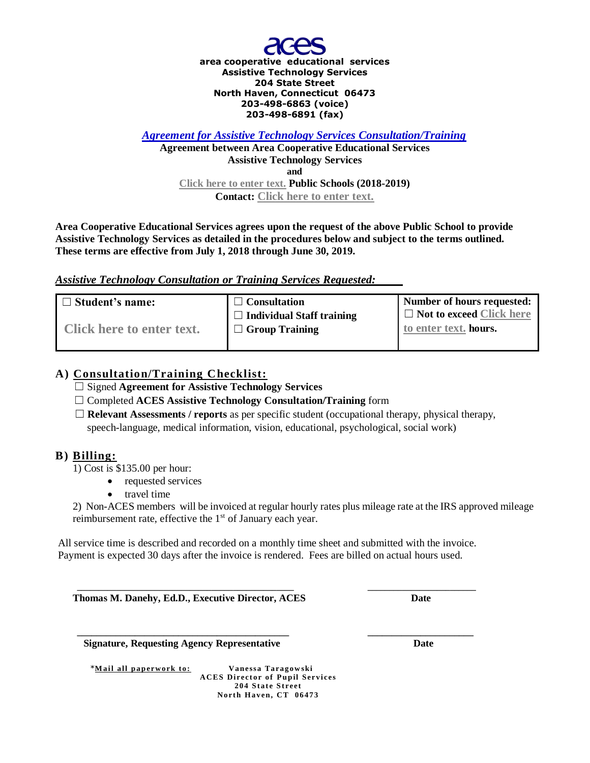

*Agreement for Assistive Technology Services Consultation/Training*

**Agreement between Area Cooperative Educational Services Assistive Technology Services and Click here to enter text. Public Schools (2018-2019) Contact: Click here to enter text.**

**Area Cooperative Educational Services agrees upon the request of the above Public School to provide Assistive Technology Services as detailed in the procedures below and subject to the terms outlined. These terms are effective from July 1, 2018 through June 30, 2019.** 

## *Assistive Technology Consultation or Training Services Requested:*

| $\Box$ Student's name:    | $\Box$ Consultation              | Number of hours requested:      |
|---------------------------|----------------------------------|---------------------------------|
|                           | $\Box$ Individual Staff training | $\Box$ Not to exceed Click here |
| Click here to enter text. | $\Box$ Group Training            | to enter text. hours.           |
|                           |                                  |                                 |

# **A) Consultation/Training Checklist:**

☐ Signed **Agreement for Assistive Technology Services** 

☐ Completed **ACES Assistive Technology Consultation/Training** form

 ☐ **Relevant Assessments / reports** as per specific student (occupational therapy, physical therapy, speech-language, medical information, vision, educational, psychological, social work)

# **B) Billing:**

1) Cost is \$135.00 per hour:

- requested services
- travel time

2) Non-ACES members will be invoiced at regular hourly rates plus mileage rate at the IRS approved mileage reimbursement rate, effective the 1<sup>st</sup> of January each year.

All service time is described and recorded on a monthly time sheet and submitted with the invoice. Payment is expected 30 days after the invoice is rendered. Fees are billed on actual hours used.

 **\_\_\_\_\_\_\_\_\_\_\_\_\_\_\_\_\_\_\_\_\_\_\_\_\_\_\_\_\_\_\_\_\_\_\_\_\_\_\_\_\_\_\_\_ \_\_\_\_\_\_\_\_\_\_\_\_\_\_\_\_\_\_\_\_\_\_**

**\_\_\_\_\_\_\_\_\_\_\_\_\_\_\_\_\_\_\_\_\_\_\_\_\_\_\_\_\_\_\_\_\_\_\_\_\_\_\_\_\_\_\_\_\_\_\_\_\_\_ \_\_\_\_\_\_\_\_\_\_\_\_\_\_\_\_\_\_\_\_\_\_\_\_\_** 

**Thomas M. Danehy, Ed.D., Executive Director, ACES** Date

**Signature, Requesting Agency Representative Constrainer Construction Constrainer Construction Construction Construction Construction Construction Construction Construction Construction Construction Construction Constructi** 

 $*$ <u>Mail all paperwork to:</u> Vanessa Taragowski **ACES Director of Pupil Services 204 State Street North Haven, CT 06473**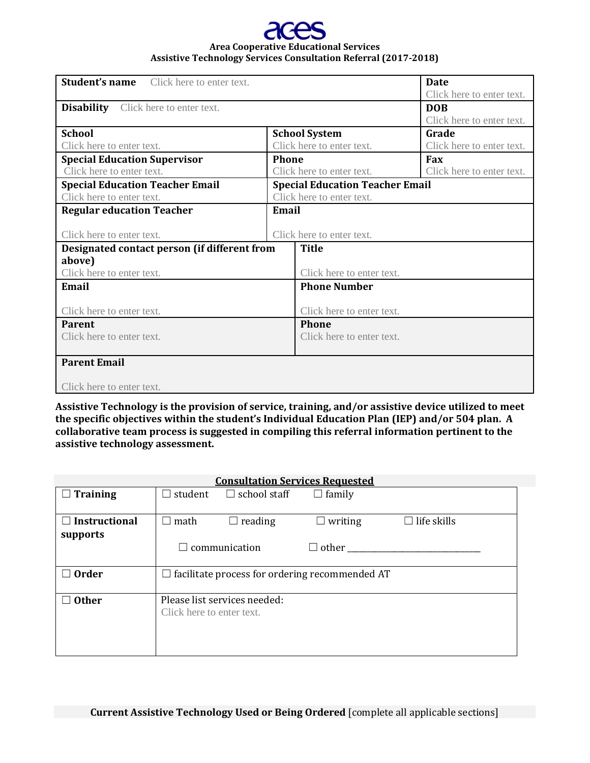# **Area Cooperative Educational Services Assistive Technology Services Consultation Referral (2017-2018)**

| <b>Student's name</b> Click here to enter text. |                           |                                        | <b>Date</b>               |
|-------------------------------------------------|---------------------------|----------------------------------------|---------------------------|
|                                                 |                           |                                        | Click here to enter text. |
| <b>Disability</b> Click here to enter text.     |                           |                                        | <b>DOB</b>                |
|                                                 |                           |                                        | Click here to enter text. |
| <b>School</b>                                   | <b>School System</b>      |                                        | Grade                     |
| Click here to enter text.                       | Click here to enter text. |                                        | Click here to enter text. |
| <b>Special Education Supervisor</b>             | <b>Phone</b>              |                                        | Fax                       |
| Click here to enter text.                       | Click here to enter text. |                                        | Click here to enter text. |
| <b>Special Education Teacher Email</b>          |                           | <b>Special Education Teacher Email</b> |                           |
| Click here to enter text.                       | Click here to enter text. |                                        |                           |
| <b>Regular education Teacher</b>                | Email                     |                                        |                           |
|                                                 |                           |                                        |                           |
| Click here to enter text.                       | Click here to enter text. |                                        |                           |
| Designated contact person (if different from    |                           | <b>Title</b>                           |                           |
| above)                                          |                           |                                        |                           |
| Click here to enter text.                       |                           | Click here to enter text.              |                           |
| Email                                           |                           | <b>Phone Number</b>                    |                           |
|                                                 |                           |                                        |                           |
| Click here to enter text.                       |                           | Click here to enter text.              |                           |
| <b>Parent</b>                                   |                           | <b>Phone</b>                           |                           |
| Click here to enter text.                       |                           | Click here to enter text.              |                           |
|                                                 |                           |                                        |                           |
| <b>Parent Email</b>                             |                           |                                        |                           |
|                                                 |                           |                                        |                           |
| Click here to enter text.                       |                           |                                        |                           |

**Assistive Technology is the provision of service, training, and/or assistive device utilized to meet the specific objectives within the student's Individual Education Plan (IEP) and/or 504 plan. A collaborative team process is suggested in compiling this referral information pertinent to the assistive technology assessment.**

| <b>Consultation Services Requested</b> |                                                       |                              |                |                    |
|----------------------------------------|-------------------------------------------------------|------------------------------|----------------|--------------------|
| Training                               | student                                               | $\Box$ school staff          | $\Box$ family  |                    |
|                                        |                                                       |                              |                |                    |
| $\Box$ Instructional                   | math                                                  | $\Box$ reading               | $\Box$ writing | $\Box$ life skills |
| supports                               |                                                       |                              |                |                    |
|                                        | communication<br>$\mathbf{I}$                         |                              | $\Box$ other   |                    |
|                                        |                                                       |                              |                |                    |
| <b>Order</b>                           | $\Box$ facilitate process for ordering recommended AT |                              |                |                    |
|                                        |                                                       |                              |                |                    |
| <b>Other</b>                           |                                                       | Please list services needed: |                |                    |
|                                        | Click here to enter text.                             |                              |                |                    |
|                                        |                                                       |                              |                |                    |
|                                        |                                                       |                              |                |                    |
|                                        |                                                       |                              |                |                    |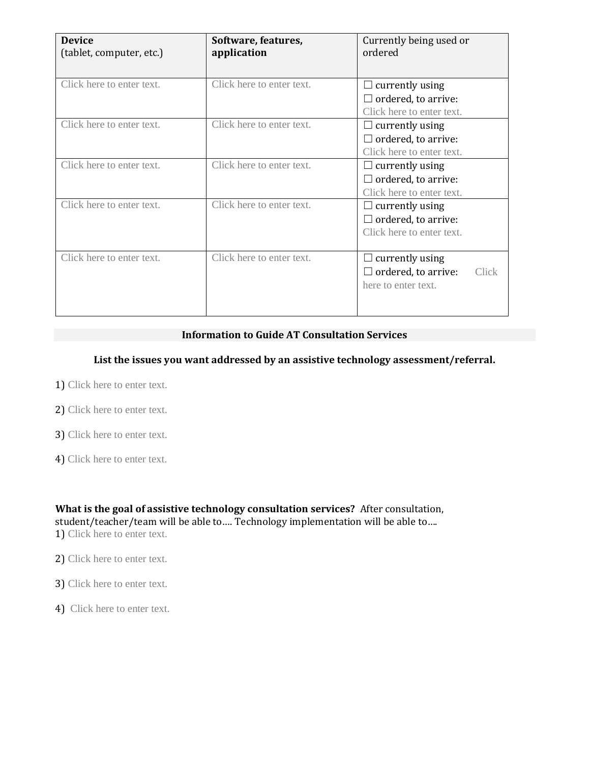| <b>Device</b><br>(tablet, computer, etc.) | Software, features,<br>application | Currently being used or<br>ordered            |
|-------------------------------------------|------------------------------------|-----------------------------------------------|
| Click here to enter text.                 | Click here to enter text.          | currently using<br>$\Box$ ordered, to arrive: |
|                                           |                                    | Click here to enter text.                     |
| Click here to enter text.                 | Click here to enter text.          | $\Box$ currently using                        |
|                                           |                                    | $\Box$ ordered, to arrive:                    |
|                                           |                                    | Click here to enter text.                     |
| Click here to enter text.                 | Click here to enter text.          | $\Box$ currently using                        |
|                                           |                                    | $\Box$ ordered, to arrive:                    |
|                                           |                                    | Click here to enter text.                     |
| Click here to enter text.                 | Click here to enter text.          | $\Box$ currently using                        |
|                                           |                                    | $\Box$ ordered, to arrive:                    |
|                                           |                                    | Click here to enter text.                     |
|                                           |                                    |                                               |
| Click here to enter text.                 | Click here to enter text.          | currently using                               |
|                                           |                                    | $\Box$ ordered, to arrive:<br>Click           |
|                                           |                                    | here to enter text.                           |
|                                           |                                    |                                               |
|                                           |                                    |                                               |

# **Information to Guide AT Consultation Services**

## **List the issues you want addressed by an assistive technology assessment/referral.**

- 1) Click here to enter text.
- 2) Click here to enter text.
- 3) Click here to enter text.
- 4) Click here to enter text.

**What is the goal of assistive technology consultation services?** After consultation, student/teacher/team will be able to…. Technology implementation will be able to…. 1) Click here to enter text.

- 2) Click here to enter text.
- 3) Click here to enter text.
- 4) Click here to enter text.